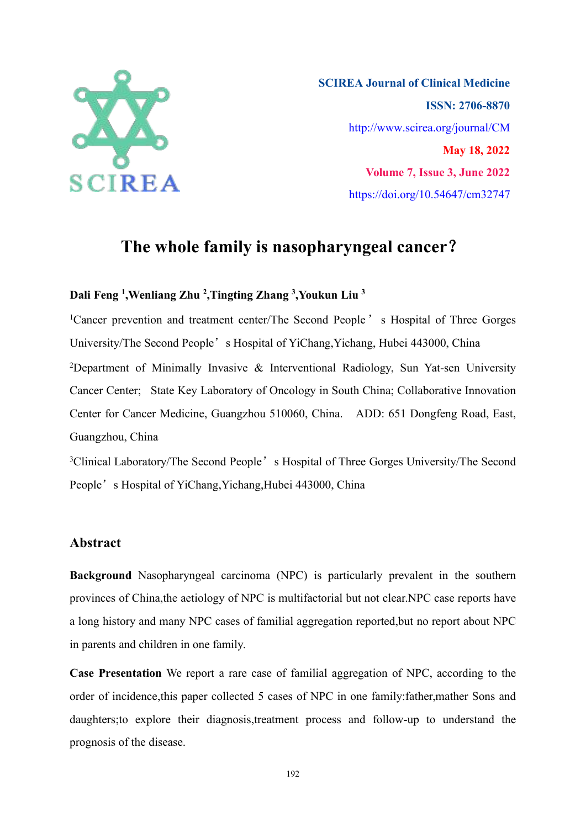

**SCIREA Journal of Clinical Medicine ISSN: 2706-8870** http://www.scirea.org/journal/CM **May 18, 2022 Volume 7, Issue 3, June 2022** https://doi.org/10.54647/cm32747

# **The whole family is nasopharyngeal cancer**?

#### **Dali Feng 1 ,Wenliang Zhu 2 ,Tingting Zhang 3 ,Youkun Liu 3**

<sup>1</sup>Cancer prevention and treatment center/The Second People 's Hospital of Three Gorges University/The Second People's Hospital of YiChang, Yichang, Hubei 443000, China <sup>2</sup>Department of Minimally Invasive & Interventional Radiology, Sun Yat-sen University Cancer Center; State Key Laboratory of Oncology in South China; Collaborative Innovation Center for Cancer Medicine, Guangzhou 510060, China. ADD: 651 Dongfeng Road, East, Guangzhou, China

<sup>3</sup>Clinical Laboratory/The Second People's Hospital of Three Gorges University/The Second People's Hospital of YiChang, Yichang, Hubei 443000, China

# **Abstract**

**Background** Nasopharyngeal carcinoma (NPC) is particularly prevalent in the southern provinces of China,the aetiology of NPC is multifactorial but not clear.NPC case reports have a long history and many NPC cases of familial aggregation reported, but no report about NPC in parents and children in one family.

**Case Presentation** We report a rare case of familial aggregation of NPC, according to the order of incidence,this paper collected 5 cases of NPC in one family:father,mather Sons and daughters;to explore their diagnosis,treatment process and follow-up to understand the prognosis of the disease.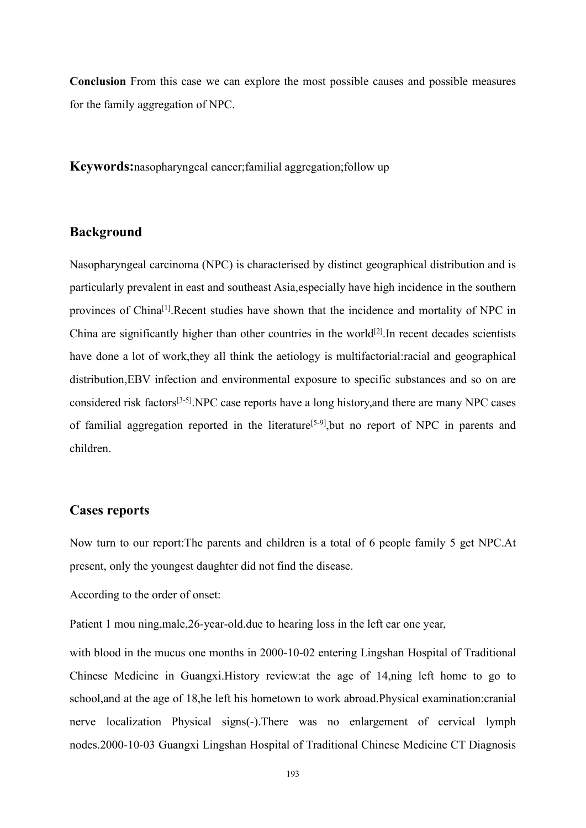**Conclusion** From this case we can explore the most possible causes and possible measures for the family aggregation of NPC.

**Keywords:**nasopharyngeal cancer;familial aggregation;follow up

# **Background**

Nasopharyngeal carcinoma (NPC) is characterised by distinct geographical distribution and is particularly prevalent in east and southeast Asia,especially have high incidence in the southern provinces of China<sup>[1]</sup>.Recent studies have shown that the incidence and mortality of NPC in China are significantly higher than other countries in the world [2].In recent decades scientists have done a lot of work,they all think the aetiology is multifactorial:racial and geographical distribution,EBV infection and environmental exposure to specific substances and so on are considered risk factors [3-5].NPC case reports have a long history,and there are many NPC cases of familial aggregation reported in the literature<sup>[5-9]</sup>,but no report of NPC in parents and children.

# **Cases reports**

Now turn to our report:The parents and children is a total of 6 people family 5 get NPC.At present, only the youngest daughter did not find the disease.

According to the order of onset:

Patient 1 mou ning,male,26-year-old.due to hearing loss in the left ear one year,

with blood in the mucus one months in 2000-10-02 entering Lingshan Hospital of Traditional Chinese Medicine in Guangxi. History review: at the age of 14,ning left home to go to school,and at the age of 18,he left his hometown to work abroad.Physical examination:cranial nerve localization Physical signs(-).There was no enlargement of cervical lymph nodes.2000-10-03 Guangxi Lingshan Hospital of Traditional Chinese Medicine CT Diagnosis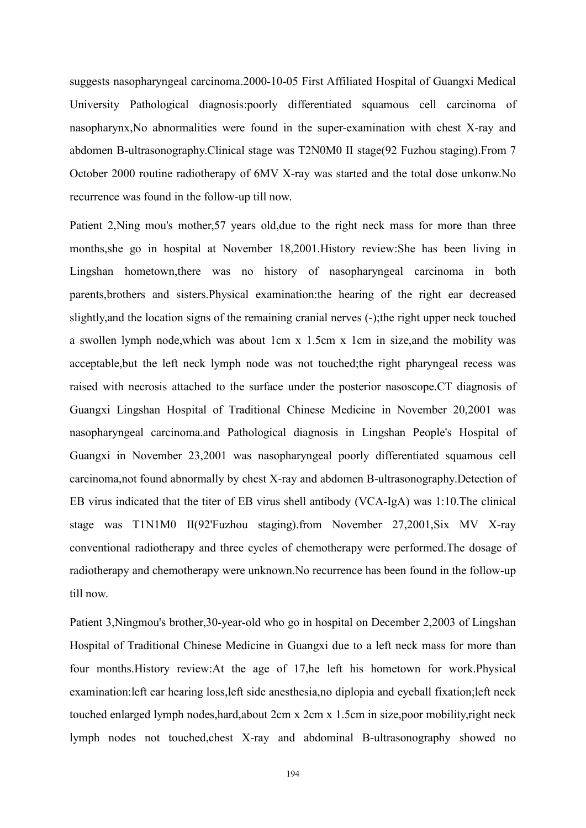suggests nasopharyngeal carcinoma.2000-10-05 First Affiliated Hospital of Guangxi Medical University Pathological diagnosis:poorly differentiated squamous cell carcinoma of nasopharynx,No abnormalities were found in the super-examination with chest X-ray and abdomen B-ultrasonography.Clinical stage was T2N0M0 II stage(92 Fuzhou staging).From 7 October 2000 routine radiotherapy of 6MV X-ray was started and the total dose unkonw.No recurrence was found in the follow-up till now.

Patient 2,Ning mou's mother,57 years old,due to the right neck mass for more than three months,she go in hospital at November 18,2001.History review:She has been living in Lingshan hometown,there was no history of nasopharyngeal carcinoma in both parents,brothers and sisters.Physical examination:the hearing of the right ear decreased slightly, and the location signs of the remaining cranial nerves (-); the right upper neck touched a swollen lymph node,which was about 1cm x 1.5cm x 1cm in size,and the mobility was acceptable,but the left neck lymph node was not touched;the right pharyngeal recess was raised with necrosis attached to the surface under the posterior nasoscope.CT diagnosis of Guangxi Lingshan Hospital of Traditional Chinese Medicine in November 20,2001 was nasopharyngeal carcinoma.and Pathological diagnosis in Lingshan People's Hospital of Guangxi in November 23,2001 was nasopharyngeal poorly differentiated squamous cell carcinoma,not found abnormally by chest X-ray and abdomen B-ultrasonography.Detection of EB virus indicated that the titer of EB virus shell antibody (VCA-IgA) was 1:10.The clinical stage was T1N1M0 II(92'Fuzhou staging).from November 27,2001,Six MV X-ray conventional radiotherapy and three cycles of chemotherapy were performed.The dosage of radiotherapy and chemotherapy were unknown.No recurrence has been found in the follow-up till now.

Patient 3,Ningmou's brother,30-year-old who go in hospital on December 2,2003 of Lingshan Hospital of Traditional Chinese Medicine in Guangxi due to a left neck mass for more than four months.History review:At the age of 17,he left his hometown for work.Physical examination:left ear hearing loss,left side anesthesia,no diplopia and eyeball fixation;left neck touched enlarged lymph nodes,hard,about 2cm x 2cm x 1.5cm in size,poor mobility,right neck lymph nodes not touched,chest X-ray and abdominal B-ultrasonography showed no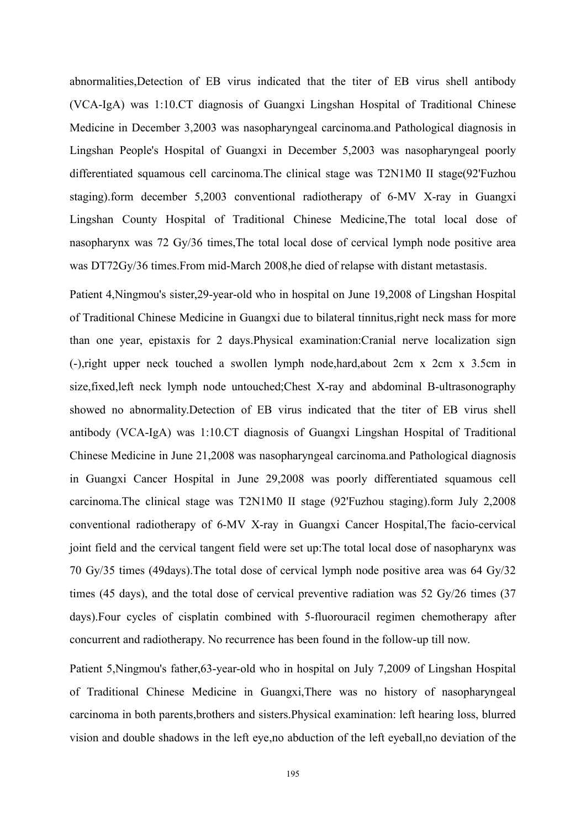abnormalities,Detection of EB virus indicated that the titer of EB virus shell antibody (VCA-IgA) was 1:10.CT diagnosisof Guangxi Lingshan Hospital of Traditional Chinese Medicine in December 3,2003 was nasopharyngeal carcinoma.and Pathological diagnosis in Lingshan People's Hospital of Guangxi in December 5,2003 was nasopharyngeal poorly differentiated squamous cell carcinoma.The clinical stage was T2N1M0 II stage(92'Fuzhou staging).form december 5,2003 conventional radiotherapy of 6-MV X-ray in Guangxi Lingshan County Hospital of Traditional Chinese Medicine,The total local dose of nasopharynx was 72 Gy/36 times,The total local dose of cervical lymph node positive area was DT72Gy/36 times.From mid-March 2008,he died of relapse with distant metastasis.

Patient 4,Ningmou's sister,29-year-old who in hospital on June 19,2008 of Lingshan Hospital of Traditional Chinese Medicine in Guangxi due to bilateral tinnitus,right neck mass for more than one year, epistaxis for 2 days.Physical examination:Cranial nerve localization sign (-),right upper neck touched a swollen lymph node,hard,about 2cm x 2cm x 3.5cm in size,fixed,left neck lymph node untouched;Chest X-ray and abdominal B-ultrasonography showed no abnormality.Detection of EB virus indicated that the titer of EB virus shell antibody (VCA-IgA) was 1:10.CT diagnosisof Guangxi Lingshan Hospital of Traditional Chinese Medicine in June 21,2008 was nasopharyngeal carcinoma.and Pathological diagnosis in Guangxi Cancer Hospital in June 29,2008 was poorly differentiated squamous cell carcinoma.The clinical stage was T2N1M0 II stage (92'Fuzhou staging).form July 2,2008 conventional radiotherapy of 6-MV X-ray in Guangxi Cancer Hospital,The facio-cervical joint field and the cervical tangent field were set up:The total local dose of nasopharynx was 70 Gy/35 times (49days).The total dose of cervical lymph node positive area was 64 Gy/32 times (45 days), and the total dose of cervical preventive radiation was 52 Gy/26 times (37 days).Four cycles of cisplatin combined with 5-fluorouracil regimen chemotherapy after concurrent and radiotherapy. No recurrence has been found in the follow-up till now.

Patient 5,Ningmou's father,63-year-old who in hospital on July 7,2009 of Lingshan Hospital of Traditional Chinese Medicine in Guangxi,There was no history of nasopharyngeal carcinoma in both parents,brothers and sisters.Physical examination: left hearing loss, blurred vision and double shadows in the left eye,no abduction of the left eyeball,no deviation of the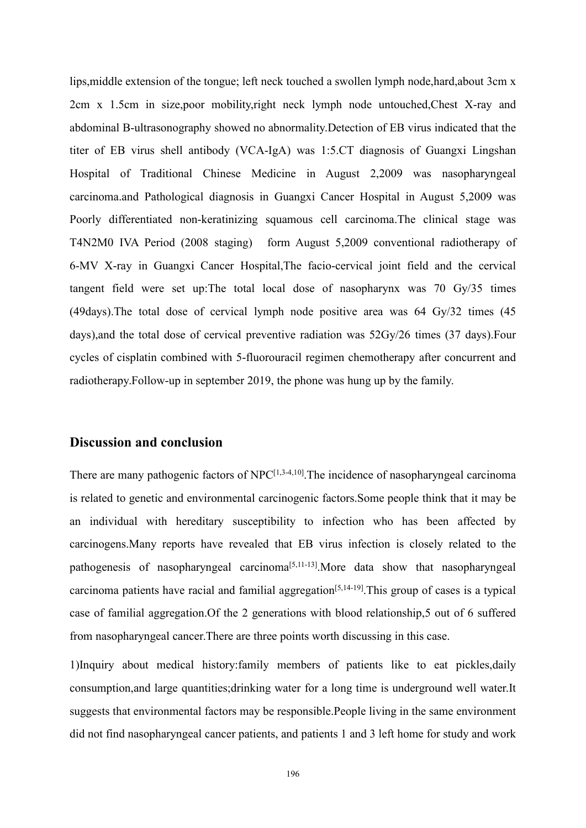lips,middle extension of the tongue; left neck touched a swollen lymph node,hard,about 3cm x 2cm x 1.5cm in size,poor mobility,right neck lymph node untouched,Chest X-ray and abdominal B-ultrasonography showed no abnormality.Detection of EB virus indicated that the titer of EB virus shell antibody (VCA-IgA) was 1:5.CT diagnosisof Guangxi Lingshan Hospital of Traditional Chinese Medicine in August 2,2009 was nasopharyngeal carcinoma.and Pathological diagnosis in Guangxi Cancer Hospital in August 5,2009 was Poorly differentiated non-keratinizing squamous cell carcinoma.The clinical stage was T4N2M0 IVA Period (2008 staging) form August 5,2009 conventional radiotherapy of 6-MV X-ray in Guangxi Cancer Hospital,The facio-cervical joint field and the cervical tangent field were set up:The total local dose of nasopharynx was 70 Gy/35 times (49days).The total dose of cervical lymph node positive area was 64 Gy/32 times (45 days),and the total dose of cervical preventive radiation was 52Gy/26 times (37 days).Four cycles of cisplatin combined with 5-fluorouracil regimen chemotherapy after concurrent and radiotherapy.Follow-up in september 2019, the phone was hung up by the family.

# **Discussion and conclusion**

There are many pathogenic factors of  $NPC^{[1,3-4,10]}$ . The incidence of nasopharyngeal carcinoma is related to genetic and environmental carcinogenic factors.Some people think that it may be an individual with hereditary susceptibility to infection who has been affected by carcinogens.Many reports have revealed that EB virus infection is closely related to the pathogenesis of nasopharyngeal carcinoma<sup>[5,11-13]</sup>. More data show that nasopharyngeal carcinoma patients have racial and familial aggregation [5,14-19].This group of cases is a typical case of familial aggregation.Of the 2 generations with blood relationship,5 out of 6 suffered from nasopharyngeal cancer.There are three points worth discussing in this case.

1)Inquiry about medical history:family members of patients like to eat pickles,daily consumption, and large quantities; drinking water for a long time is underground well water. It suggests that environmental factors may be responsible.People living in the same environment did not find nasopharyngeal cancer patients, and patients 1 and 3 left home for study and work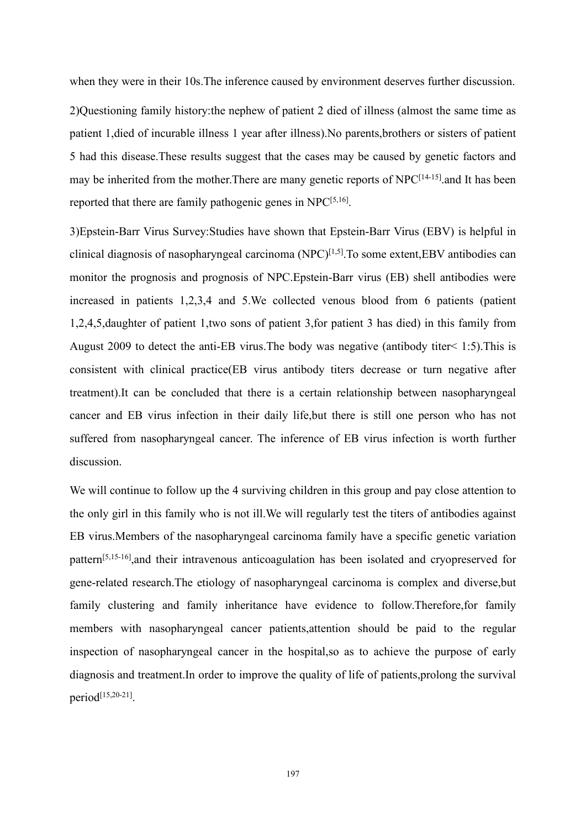when they were in their 10s.The inference caused by environment deserves further discussion.

2)Questioning family history:the nephew of patient 2 died of illness (almost the same time as patient 1, died of incurable illness 1 year after illness). No parents, brothers or sisters of patient 5 had this disease.These results suggest that the cases may be caused by genetic factors and may be inherited from the mother. There are many genetic reports of NPC<sup>[14-15]</sup> and It has been reported that there are family pathogenic genes in  $NPC^{[5,16]}$ .

3)Epstein-Barr Virus Survey:Studies have shown that Epstein-Barr Virus (EBV) is helpful in clinical diagnosis of nasopharyngeal carcinoma (NPC) [1,5].To some extent,EBV antibodies can monitor the prognosis and prognosis of NPC.Epstein-Barr virus (EB) shell antibodies were increased in patients 1,2,3,4 and 5.We collected venous blood from 6 patients (patient 1,2,4,5, daughter of patient 1, two sons of patient 3, for patient 3 has died) in this family from August 2009 to detect the anti-EB virus.The body was negative (antibody titer< 1:5).This is consistent with clinical practice(EB virus antibody titers decrease or turn negative after treatment).It can be concluded that there is a certain relationship between nasopharyngeal cancer and EB virus infection in their daily life,but there is still one person who has not suffered from nasopharyngeal cancer. The inference of EB virus infection is worth further discussion.

We will continue to follow up the 4 surviving children in this group and pay close attention to the only girl in this family who is not ill.We will regularly test the titers of antibodies against EB virus.Members of the nasopharyngeal carcinoma family have a specific genetic variation pattern [5,15-16],and their intravenous anticoagulation has been isolated and cryopreserved for gene-related research. The etiology of nasopharyngeal carcinoma is complex and diverse, but family clustering and family inheritance have evidence to follow.Therefore,for family members with nasopharyngeal cancer patients,attention should be paid to the regular inspection of nasopharyngeal cancer in the hospital,so as to achieve the purpose of early diagnosis and treatment.In order to improve the quality of life of patients,prolong the survival period [15,20-21].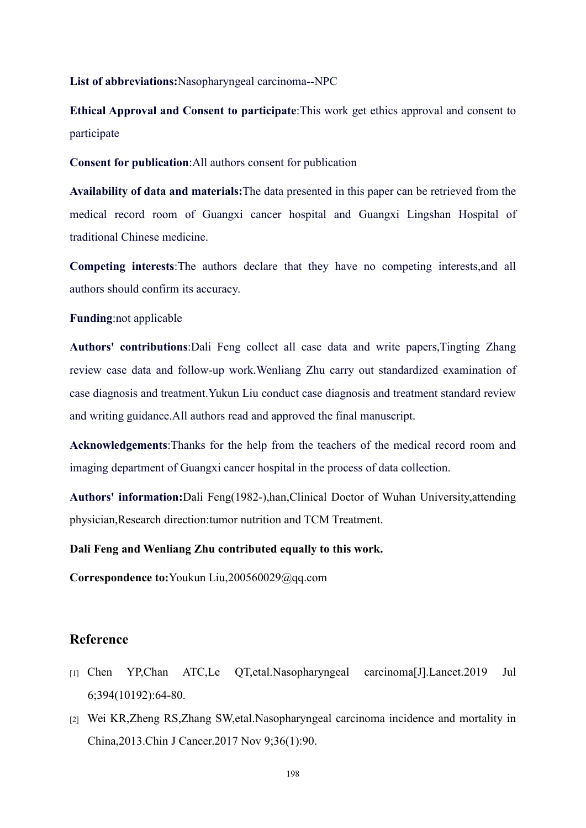**List of abbreviations:**Nasopharyngeal carcinoma--NPC

**Ethical Approval and Consent to participate**:This work get ethics approval and consent to participate

**Consent for publication**:All authors consent for publication

**Availability of data and materials:**The data presented in this paper can be retrieved from the medical record room of Guangxi cancer hospital and Guangxi Lingshan Hospital of traditional Chinese medicine.

**Competing interests**:The authors declare that they have no competing interests,and all authors should confirm its accuracy.

### **Funding**:not applicable

**Authors' contributions**:Dali Feng collect all case data and write papers,Tingting Zhang review case data and follow-up work.Wenliang Zhu carry out standardized examination of case diagnosis and treatment.Yukun Liu conduct case diagnosis and treatment standard review and writing guidance.All authors read and approved the final manuscript.

**Acknowledgements**:Thanks for the help from the teachers of the medical record room and imaging department of Guangxi cancer hospital in the process of data collection.

**Authors' information:**Dali Feng(1982-),han,Clinical Doctor of Wuhan University,attending physician,Research direction:tumor nutrition and TCM Treatment.

### **Dali Feng and Wenliang Zhu contributed equally to this work.**

**Correspondence to:**Youkun Liu,200560029@qq.com

# **Reference**

- [1] Chen YP,Chan ATC,Le QT,etal.Nasopharyngeal carcinoma[J].Lancet.2019 Jul 6;394(10192):64-80.
- [2] Wei KR,Zheng RS,Zhang SW,etal.Nasopharyngeal carcinoma incidence and mortality in China,2013.Chin J Cancer.2017 Nov 9;36(1):90.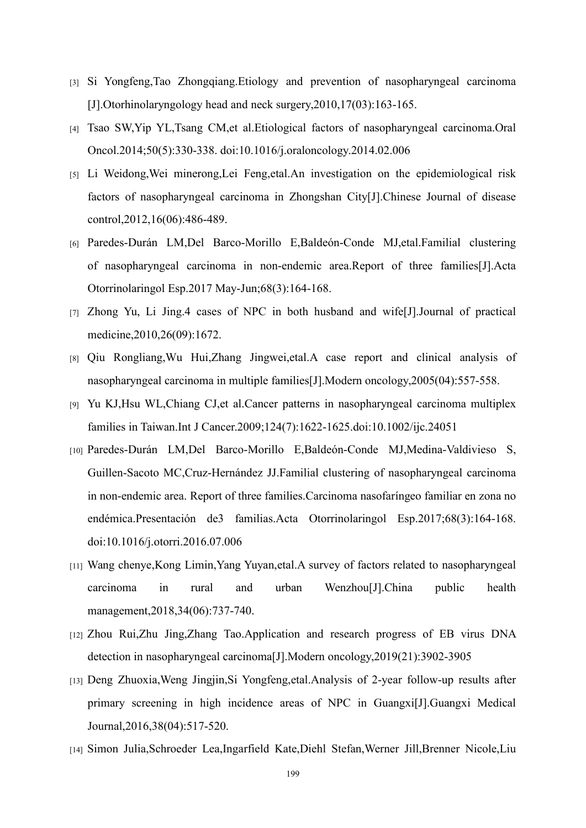- [3] Si Yongfeng,Tao Zhongqiang.Etiology and prevention of nasopharyngeal carcinoma [J].Otorhinolaryngology head and neck surgery,2010,17(03):163-165.
- [4] Tsao SW,Yip YL,Tsang CM,et al.Etiological factors of nasopharyngeal carcinoma.Oral Oncol.2014;50(5):330-338. doi:10.1016/j.oraloncology.2014.02.006
- [5] Li Weidong,Wei minerong,Lei Feng,etal.An investigation on the epidemiological risk factors of nasopharyngeal carcinoma in Zhongshan City[J].Chinese Journal of disease control,2012,16(06):486-489.
- [6] Paredes-Durán LM,Del Barco-Morillo E,Baldeón-Conde MJ,etal.Familial clustering of nasopharyngeal carcinoma in non-endemic area.Report of three families[J].Acta Otorrinolaringol Esp.2017 May-Jun;68(3):164-168.
- [7] Zhong Yu, Li Jing.4 cases of NPC in both husband and wife[J].Journal of practical medicine,2010,26(09):1672.
- [8] Qiu Rongliang,Wu Hui,Zhang Jingwei,etal.A case report and clinical analysis of nasopharyngeal carcinoma in multiple families[J].Modern oncology,2005(04):557-558.
- [9] Yu KJ,Hsu WL,Chiang CJ,et al.Cancer patterns in nasopharyngeal carcinoma multiplex families in Taiwan.Int J Cancer.2009;124(7):1622-1625.doi:10.1002/ijc.24051
- [10] Paredes-Durán LM,Del Barco-Morillo E,Baldeón-Conde MJ,Medina-Valdivieso S, Guillen-Sacoto MC,Cruz-Hernández JJ.Familial clustering of nasopharyngeal carcinoma in non-endemic area. Report of three families.Carcinoma nasofaríngeo familiar en zona no endémica.Presentación de3 familias.Acta Otorrinolaringol Esp.2017;68(3):164-168. doi:10.1016/j.otorri.2016.07.006
- [11] Wang chenye,Kong Limin,Yang Yuyan,etal.A survey of factors related to nasopharyngeal carcinoma in rural and urban Wenzhou[J].China public health management,2018,34(06):737-740.
- [12] Zhou Rui,Zhu Jing,Zhang Tao.Application and research progress of EB virus DNA detection in nasopharyngeal carcinoma[J].Modern oncology,2019(21):3902-3905
- [13] Deng Zhuoxia,Weng Jingjin,Si Yongfeng,etal.Analysis of 2-year follow-up results after primary screening in high incidence areas of NPC in Guangxi[J].Guangxi Medical Journal,2016,38(04):517-520.
- [14] Simon Julia,Schroeder Lea,Ingarfield Kate,Diehl Stefan,Werner Jill,Brenner Nicole,Liu